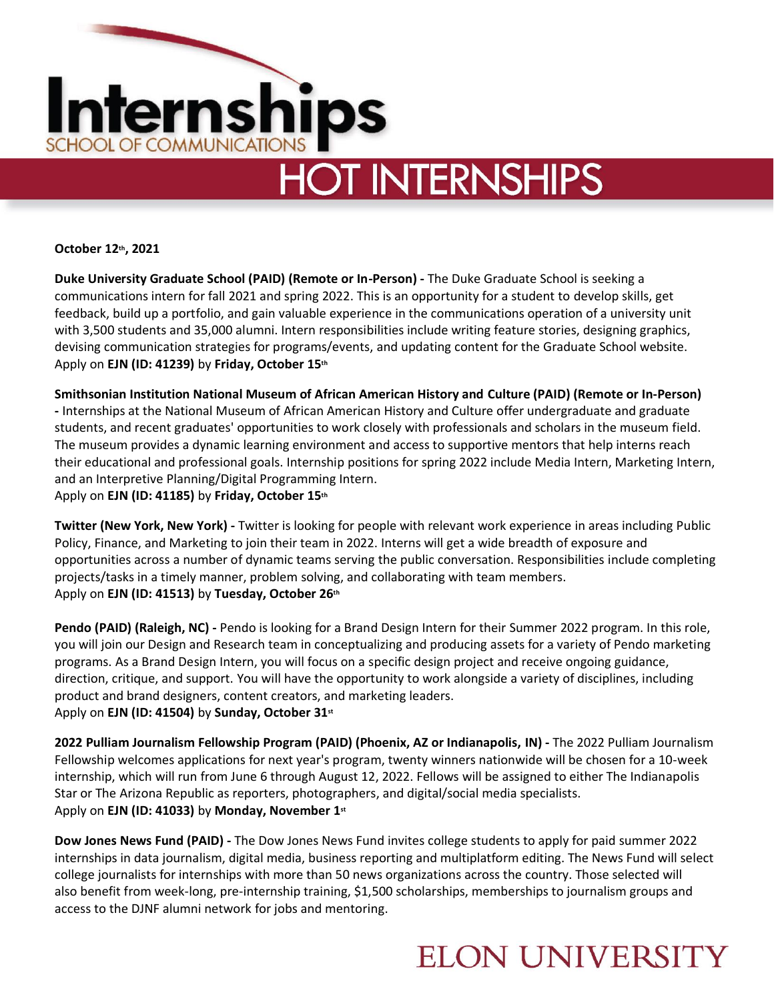

# **HOT INTERNSHIPS**

**October 12th, 2021** 

**Duke University Graduate School (PAID) (Remote or In-Person) -** The Duke Graduate School is seeking a communications intern for fall 2021 and spring 2022. This is an opportunity for a student to develop skills, get feedback, build up a portfolio, and gain valuable experience in the communications operation of a university unit with 3,500 students and 35,000 alumni. Intern responsibilities include writing feature stories, designing graphics, devising communication strategies for programs/events, and updating content for the Graduate School website. Apply on **EJN (ID: 41239)** by **Friday, October 15th** 

**Smithsonian Institution National Museum of African American History and Culture (PAID) (Remote or In-Person) -** Internships at the National Museum of African American History and Culture offer undergraduate and graduate students, and recent graduates' opportunities to work closely with professionals and scholars in the museum field. The museum provides a dynamic learning environment and access to supportive mentors that help interns reach their educational and professional goals. Internship positions for spring 2022 include Media Intern, Marketing Intern, and an Interpretive Planning/Digital Programming Intern. Apply on **EJN (ID: 41185)** by **Friday, October 15th**

**Twitter (New York, New York) -** Twitter is looking for people with relevant work experience in areas including Public Policy, Finance, and Marketing to join their team in 2022. Interns will get a wide breadth of exposure and opportunities across a number of dynamic teams serving the public conversation. Responsibilities include completing projects/tasks in a timely manner, problem solving, and collaborating with team members. Apply on **EJN (ID: 41513)** by **Tuesday, October 26th**

**Pendo (PAID) (Raleigh, NC) -** Pendo is looking for a Brand Design Intern for their Summer 2022 program. In this role, you will join our Design and Research team in conceptualizing and producing assets for a variety of Pendo marketing programs. As a Brand Design Intern, you will focus on a specific design project and receive ongoing guidance, direction, critique, and support. You will have the opportunity to work alongside a variety of disciplines, including product and brand designers, content creators, and marketing leaders. Apply on **EJN (ID: 41504)** by **Sunday, October 31st**

**2022 Pulliam Journalism Fellowship Program (PAID) (Phoenix, AZ or Indianapolis, IN) -** The 2022 Pulliam Journalism Fellowship welcomes applications for next year's program, twenty winners nationwide will be chosen for a 10-week internship, which will run from June 6 through August 12, 2022. Fellows will be assigned to either The Indianapolis Star or The Arizona Republic as reporters, photographers, and digital/social media specialists. Apply on **EJN (ID: 41033)** by **Monday, November 1st**

**Dow Jones News Fund (PAID) -** The Dow Jones News Fund invites college students to apply for paid summer 2022 internships in data journalism, digital media, business reporting and multiplatform editing. The News Fund will select college journalists for internships with more than 50 news organizations across the country. Those selected will also benefit from week-long, pre-internship training, \$1,500 scholarships, memberships to journalism groups and access to the DJNF alumni network for jobs and mentoring.

### **ELON UNIVERSITY**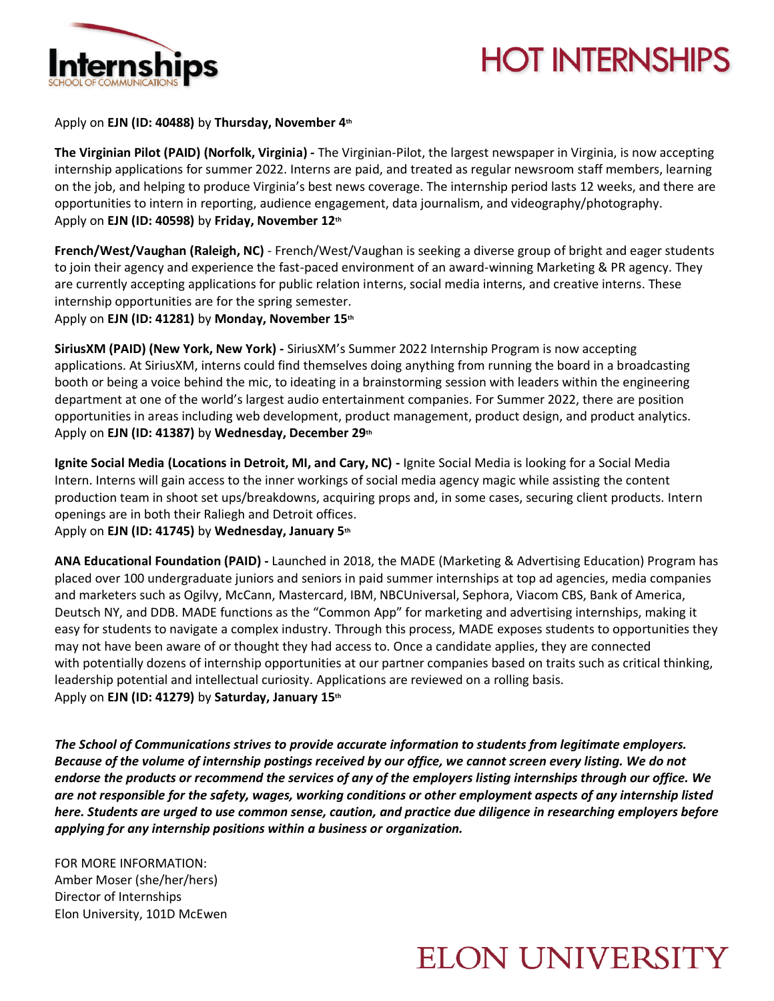

## **HOT INTERNSHIPS**

Apply on **EJN (ID: 40488)** by **Thursday, November 4th**

**The Virginian Pilot (PAID) (Norfolk, Virginia) -** The Virginian-Pilot, the largest newspaper in Virginia, is now accepting internship applications for summer 2022. Interns are paid, and treated as regular newsroom staff members, learning on the job, and helping to produce Virginia's best news coverage. The internship period lasts 12 weeks, and there are opportunities to intern in reporting, audience engagement, data journalism, and videography/photography. Apply on **EJN (ID: 40598)** by **Friday, November 12th**

**French/West/Vaughan (Raleigh, NC)** - French/West/Vaughan is seeking a diverse group of bright and eager students to join their agency and experience the fast-paced environment of an award-winning Marketing & PR agency. They are currently accepting applications for public relation interns, social media interns, and creative interns. These internship opportunities are for the spring semester.

Apply on **EJN (ID: 41281)** by **Monday, November 15th**

**SiriusXM (PAID) (New York, New York) -** SiriusXM's Summer 2022 Internship Program is now accepting applications. At SiriusXM, interns could find themselves doing anything from running the board in a broadcasting booth or being a voice behind the mic, to ideating in a brainstorming session with leaders within the engineering department at one of the world's largest audio entertainment companies. For Summer 2022, there are position opportunities in areas including web development, product management, product design, and product analytics. Apply on **EJN (ID: 41387)** by **Wednesday, December 29th**

**Ignite Social Media (Locations in Detroit, MI, and Cary, NC) -** Ignite Social Media is looking for a Social Media Intern. Interns will gain access to the inner workings of social media agency magic while assisting the content production team in shoot set ups/breakdowns, acquiring props and, in some cases, securing client products. Intern openings are in both their Raliegh and Detroit offices.

Apply on **EJN (ID: 41745)** by **Wednesday, January 5th**

**ANA Educational Foundation (PAID) -** Launched in 2018, the MADE (Marketing & Advertising Education) Program has placed over 100 undergraduate juniors and seniors in paid summer internships at top ad agencies, media companies and marketers such as Ogilvy, McCann, Mastercard, IBM, NBCUniversal, Sephora, Viacom CBS, Bank of America, Deutsch NY, and DDB. MADE functions as the "Common App" for marketing and advertising internships, making it easy for students to navigate a complex industry. Through this process, MADE exposes students to opportunities they may not have been aware of or thought they had access to. Once a candidate applies, they are connected with potentially dozens of internship opportunities at our partner companies based on traits such as critical thinking, leadership potential and intellectual curiosity. Applications are reviewed on a rolling basis. Apply on **EJN (ID: 41279)** by **Saturday, January 15th**

*The School of Communications strives to provide accurate information to students from legitimate employers. Because of the volume of internship postings received by our office, we cannot screen every listing. We do not endorse the products or recommend the services of any of the employers listing internships through our office. We are not responsible for the safety, wages, working conditions or other employment aspects of any internship listed here. Students are urged to use common sense, caution, and practice due diligence in researching employers before applying for any internship positions within a business or organization.*

FOR MORE INFORMATION: Amber Moser (she/her/hers) Director of Internships Elon University, 101D McEwen

### **ELON UNIVERSITY**